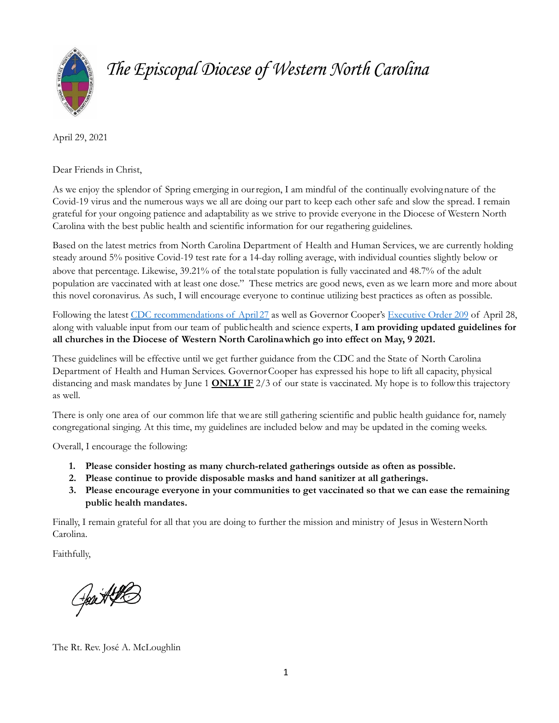

# *The Episcopal Diocese of Western North Carolina*

April 29, 2021

Dear Friends in Christ,

As we enjoy the splendor of Spring emerging in ourregion, I am mindful of the continually evolvingnature of the Covid-19 virus and the numerous ways we all are doing our part to keep each other safe and slow the spread. I remain grateful for your ongoing patience and adaptability as we strive to provide everyone in the Diocese of Western North Carolina with the best public health and scientific information for our regathering guidelines.

Based on the latest metrics from North Carolina Department of Health and Human Services, we are currently holding steady around 5% positive Covid-19 test rate for a 14-day rolling average, with individual counties slightly below or above that percentage. Likewise, 39.21% of the totalstate population is fully vaccinated and 48.7% of the adult population are vaccinated with at least one dose." These metrics are good news, even as we learn more and more about this novel coronavirus. As such, I will encourage everyone to continue utilizing best practices as often as possible.

Following the latest CDC [recommendations](https://www.cdc.gov/coronavirus/2019-ncov/vaccines/fully-vaccinated-guidance.html#anchor_1619526549276) of April 27 as well as Governor Cooper's [Executive](https://files.nc.gov/governor/documents/files/EO209-Easing-Statewide-Restrictions.pdf) Order 209 of April 28, along with valuable input from our team of publichealth and science experts, **I am providing updated guidelines for all churches in the Diocese of Western North Carolinawhich go into effect on May, 9 2021.**

These guidelines will be effective until we get further guidance from the CDC and the State of North Carolina Department of Health and Human Services. GovernorCooper has expressed his hope to lift all capacity, physical distancing and mask mandates by June 1 **ONLY IF** 2/3 of our state is vaccinated. My hope is to followthis trajectory as well.

There is only one area of our common life that we are still gathering scientific and public health guidance for, namely congregational singing. At this time, my guidelines are included below and may be updated in the coming weeks.

Overall, I encourage the following:

- **1. Please consider hosting as many church-related gatherings outside as often as possible.**
- **2. Please continue to provide disposable masks and hand sanitizer at all gatherings.**
- **3. Please encourage everyone in your communities to get vaccinated so that we can ease the remaining public health mandates.**

Finally, I remain grateful for all that you are doing to further the mission and ministry of Jesus in Western North Carolina.

Faithfully,

Heart LE

The Rt. Rev. José A. McLoughlin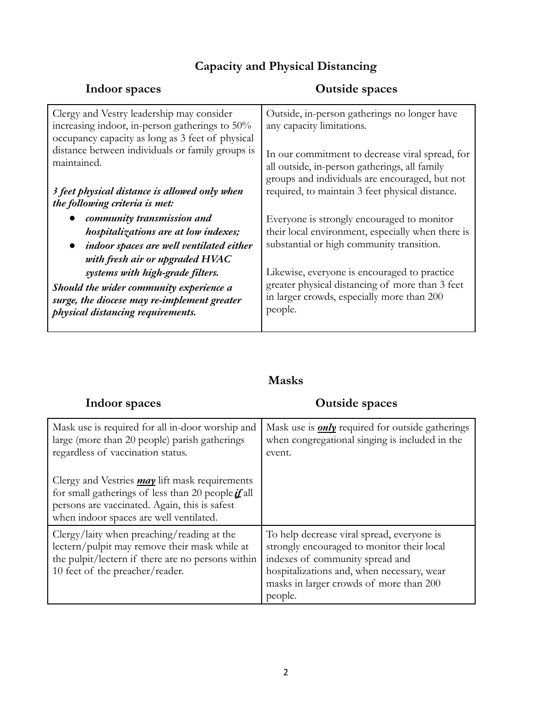## **Capacity and Physical Distancing**

| Indoor spaces                                                                                                                                   | <b>Outside spaces</b>                                                                                                                              |
|-------------------------------------------------------------------------------------------------------------------------------------------------|----------------------------------------------------------------------------------------------------------------------------------------------------|
| Clergy and Vestry leadership may consider<br>increasing indoor, in-person gatherings to 50%<br>occupancy capacity as long as 3 feet of physical | Outside, in-person gatherings no longer have<br>any capacity limitations.                                                                          |
| distance between individuals or family groups is<br>maintained.                                                                                 | In our commitment to decrease viral spread, for<br>all outside, in-person gatherings, all family<br>groups and individuals are encouraged, but not |
| 3 feet physical distance is allowed only when<br>the following criteria is met:                                                                 | required, to maintain 3 feet physical distance.                                                                                                    |
| community transmission and                                                                                                                      | Everyone is strongly encouraged to monitor                                                                                                         |
| hospitalizations are at low indexes;                                                                                                            | their local environment, especially when there is                                                                                                  |
| indoor spaces are well ventilated either                                                                                                        | substantial or high community transition.                                                                                                          |
| with fresh air or upgraded HVAC                                                                                                                 |                                                                                                                                                    |
| systems with high-grade filters.                                                                                                                | Likewise, everyone is encouraged to practice                                                                                                       |
| Should the wider community experience a<br>surge, the diocese may re-implement greater<br>physical distancing requirements.                     | greater physical distancing of more than 3 feet<br>in larger crowds, especially more than 200<br>people.                                           |

### **Masks**

| Indoor spaces                                                                                                                                                                                                               | <b>Outside spaces</b>                                                                                                                                                                                                           |
|-----------------------------------------------------------------------------------------------------------------------------------------------------------------------------------------------------------------------------|---------------------------------------------------------------------------------------------------------------------------------------------------------------------------------------------------------------------------------|
| Mask use is required for all in-door worship and<br>large (more than 20 people) parish gatherings<br>regardless of vaccination status.                                                                                      | Mask use is <b>only</b> required for outside gatherings<br>when congregational singing is included in the<br>event.                                                                                                             |
| Clergy and Vestries $\frac{may}{}$ lift mask requirements<br>for small gatherings of less than 20 people $\mathbf{\vec{u}}$ all<br>persons are vaccinated. Again, this is safest<br>when indoor spaces are well ventilated. |                                                                                                                                                                                                                                 |
| Clergy/laity when preaching/reading at the<br>lectern/pulpit may remove their mask while at<br>the pulpit/lectern if there are no persons within<br>10 feet of the preacher/reader.                                         | To help decrease viral spread, everyone is<br>strongly encouraged to monitor their local<br>indexes of community spread and<br>hospitalizations and, when necessary, wear<br>masks in larger crowds of more than 200<br>people. |

2